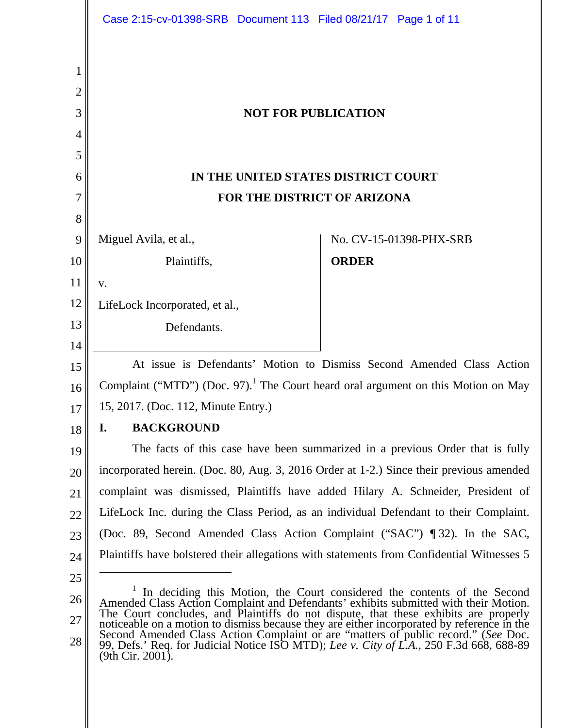|        | Case 2:15-cv-01398-SRB Document 113 Filed 08/21/17 Page 1 of 11                                                                                                                                                                                                    |  |                            |                         |  |
|--------|--------------------------------------------------------------------------------------------------------------------------------------------------------------------------------------------------------------------------------------------------------------------|--|----------------------------|-------------------------|--|
| 1<br>2 |                                                                                                                                                                                                                                                                    |  |                            |                         |  |
| 3      |                                                                                                                                                                                                                                                                    |  | <b>NOT FOR PUBLICATION</b> |                         |  |
| 4      |                                                                                                                                                                                                                                                                    |  |                            |                         |  |
| 5      |                                                                                                                                                                                                                                                                    |  |                            |                         |  |
| 6      | IN THE UNITED STATES DISTRICT COURT                                                                                                                                                                                                                                |  |                            |                         |  |
| 7      | FOR THE DISTRICT OF ARIZONA                                                                                                                                                                                                                                        |  |                            |                         |  |
| 8      |                                                                                                                                                                                                                                                                    |  |                            |                         |  |
| 9      | Miguel Avila, et al.,                                                                                                                                                                                                                                              |  |                            | No. CV-15-01398-PHX-SRB |  |
| 10     | Plaintiffs,                                                                                                                                                                                                                                                        |  | <b>ORDER</b>               |                         |  |
| 11     | V.                                                                                                                                                                                                                                                                 |  |                            |                         |  |
| 12     | LifeLock Incorporated, et al.,                                                                                                                                                                                                                                     |  |                            |                         |  |
| 13     | Defendants.                                                                                                                                                                                                                                                        |  |                            |                         |  |
| 14     |                                                                                                                                                                                                                                                                    |  |                            |                         |  |
| 15     | At issue is Defendants' Motion to Dismiss Second Amended Class Action                                                                                                                                                                                              |  |                            |                         |  |
| 16     | Complaint ("MTD") (Doc. 97). <sup>1</sup> The Court heard oral argument on this Motion on May                                                                                                                                                                      |  |                            |                         |  |
| 17     | 15, 2017. (Doc. 112, Minute Entry.)                                                                                                                                                                                                                                |  |                            |                         |  |
| 18     | <b>BACKGROUND</b><br>I.                                                                                                                                                                                                                                            |  |                            |                         |  |
| 19     | The facts of this case have been summarized in a previous Order that is fully                                                                                                                                                                                      |  |                            |                         |  |
| 20     | incorporated herein. (Doc. 80, Aug. 3, 2016 Order at 1-2.) Since their previous amended                                                                                                                                                                            |  |                            |                         |  |
| 21     | complaint was dismissed, Plaintiffs have added Hilary A. Schneider, President of                                                                                                                                                                                   |  |                            |                         |  |
| 22     | LifeLock Inc. during the Class Period, as an individual Defendant to their Complaint.                                                                                                                                                                              |  |                            |                         |  |
| 23     | (Doc. 89, Second Amended Class Action Complaint ("SAC") ¶ 32). In the SAC,                                                                                                                                                                                         |  |                            |                         |  |
| 24     | Plaintiffs have bolstered their allegations with statements from Confidential Witnesses 5                                                                                                                                                                          |  |                            |                         |  |
| 25     |                                                                                                                                                                                                                                                                    |  |                            |                         |  |
| 26     | <sup>1</sup> In deciding this Motion, the Court considered the contents of the Second Amended Class Action Complaint and Defendants' exhibits submitted with their Motion.<br>The Court concludes, and Plaintiffs do not dispute, that these exhibits are properly |  |                            |                         |  |
| 27     | noticeable on a motion to dismiss because they are either incorporated by reference in the Second Amended Class Action Complaint or are "matters of public record." (See Doc. 99, Defs.' Req. for Judicial Notice ISO MTD); Le                                     |  |                            |                         |  |
| 28     | $(9th Cir. 2001)$ .                                                                                                                                                                                                                                                |  |                            |                         |  |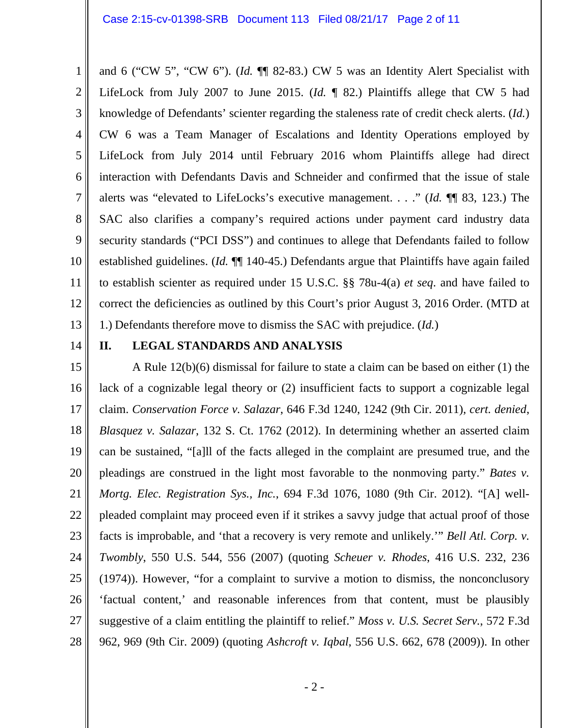1 2 3 4 5 6 7 8 9 10 11 12 13 and 6 ("CW 5", "CW 6"). (*Id.* ¶¶ 82-83.) CW 5 was an Identity Alert Specialist with LifeLock from July 2007 to June 2015. (*Id.* ¶ 82.) Plaintiffs allege that CW 5 had knowledge of Defendants' scienter regarding the staleness rate of credit check alerts. (*Id.*) CW 6 was a Team Manager of Escalations and Identity Operations employed by LifeLock from July 2014 until February 2016 whom Plaintiffs allege had direct interaction with Defendants Davis and Schneider and confirmed that the issue of stale alerts was "elevated to LifeLocks's executive management. . . ." (*Id.* ¶¶ 83, 123.) The SAC also clarifies a company's required actions under payment card industry data security standards ("PCI DSS") and continues to allege that Defendants failed to follow established guidelines. (*Id.* ¶¶ 140-45.) Defendants argue that Plaintiffs have again failed to establish scienter as required under 15 U.S.C. §§ 78u-4(a) *et seq*. and have failed to correct the deficiencies as outlined by this Court's prior August 3, 2016 Order. (MTD at 1.) Defendants therefore move to dismiss the SAC with prejudice. (*Id.*)

14

### **II. LEGAL STANDARDS AND ANALYSIS**

15 16 17 18 19 20 21 22 23 24 25 26 27 28 A Rule 12(b)(6) dismissal for failure to state a claim can be based on either (1) the lack of a cognizable legal theory or (2) insufficient facts to support a cognizable legal claim. *Conservation Force v. Salazar*, 646 F.3d 1240, 1242 (9th Cir. 2011), *cert. denied*, *Blasquez v. Salazar*, 132 S. Ct. 1762 (2012). In determining whether an asserted claim can be sustained, "[a]ll of the facts alleged in the complaint are presumed true, and the pleadings are construed in the light most favorable to the nonmoving party." *Bates v. Mortg. Elec. Registration Sys., Inc.*, 694 F.3d 1076, 1080 (9th Cir. 2012). "[A] wellpleaded complaint may proceed even if it strikes a savvy judge that actual proof of those facts is improbable, and 'that a recovery is very remote and unlikely.'" *Bell Atl. Corp. v. Twombly*, 550 U.S. 544, 556 (2007) (quoting *Scheuer v. Rhodes*, 416 U.S. 232, 236 (1974)). However, "for a complaint to survive a motion to dismiss, the nonconclusory 'factual content,' and reasonable inferences from that content, must be plausibly suggestive of a claim entitling the plaintiff to relief." *Moss v. U.S. Secret Serv.*, 572 F.3d 962, 969 (9th Cir. 2009) (quoting *Ashcroft v. Iqbal*, 556 U.S. 662, 678 (2009)). In other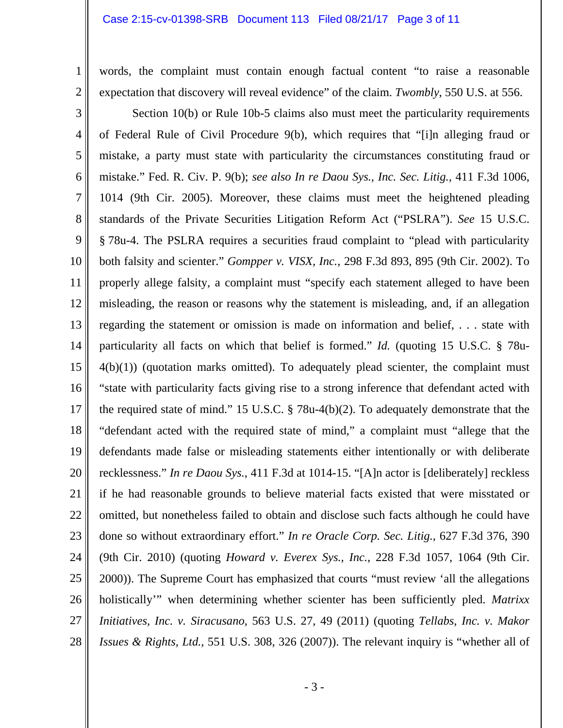#### Case 2:15-cv-01398-SRB Document 113 Filed 08/21/17 Page 3 of 11

1 2 words, the complaint must contain enough factual content "to raise a reasonable expectation that discovery will reveal evidence" of the claim. *Twombly*, 550 U.S. at 556.

3 4 5 6 7 8 9 10 11 12 13 14 15 16 17 18 19 20 21 22 23 24 25 26 27 28 Section 10(b) or Rule 10b-5 claims also must meet the particularity requirements of Federal Rule of Civil Procedure 9(b), which requires that "[i]n alleging fraud or mistake, a party must state with particularity the circumstances constituting fraud or mistake." Fed. R. Civ. P. 9(b); *see also In re Daou Sys., Inc. Sec. Litig.*, 411 F.3d 1006, 1014 (9th Cir. 2005). Moreover, these claims must meet the heightened pleading standards of the Private Securities Litigation Reform Act ("PSLRA"). *See* 15 U.S.C. § 78u-4. The PSLRA requires a securities fraud complaint to "plead with particularity both falsity and scienter." *Gompper v. VISX, Inc.*, 298 F.3d 893, 895 (9th Cir. 2002). To properly allege falsity, a complaint must "specify each statement alleged to have been misleading, the reason or reasons why the statement is misleading, and, if an allegation regarding the statement or omission is made on information and belief, . . . state with particularity all facts on which that belief is formed." *Id.* (quoting 15 U.S.C. § 78u- $4(b)(1)$ ) (quotation marks omitted). To adequately plead scienter, the complaint must "state with particularity facts giving rise to a strong inference that defendant acted with the required state of mind." 15 U.S.C. § 78u-4(b)(2). To adequately demonstrate that the "defendant acted with the required state of mind," a complaint must "allege that the defendants made false or misleading statements either intentionally or with deliberate recklessness." *In re Daou Sys.*, 411 F.3d at 1014-15. "[A]n actor is [deliberately] reckless if he had reasonable grounds to believe material facts existed that were misstated or omitted, but nonetheless failed to obtain and disclose such facts although he could have done so without extraordinary effort." *In re Oracle Corp. Sec. Litig.*, 627 F.3d 376, 390 (9th Cir. 2010) (quoting *Howard v. Everex Sys., Inc.*, 228 F.3d 1057, 1064 (9th Cir. 2000)). The Supreme Court has emphasized that courts "must review 'all the allegations holistically'" when determining whether scienter has been sufficiently pled. *Matrixx Initiatives, Inc. v. Siracusano*, 563 U.S. 27, 49 (2011) (quoting *Tellabs*, *Inc. v. Makor Issues & Rights, Ltd.*, 551 U.S. 308, 326 (2007)). The relevant inquiry is "whether all of

- 3 -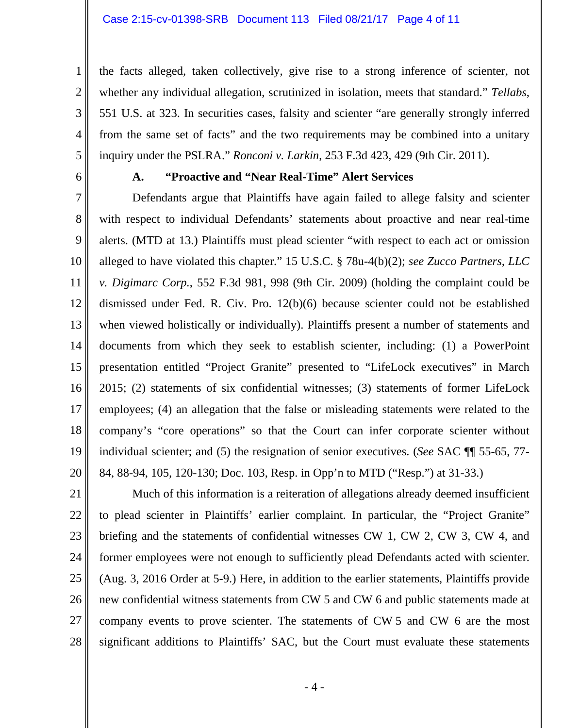the facts alleged, taken collectively, give rise to a strong inference of scienter, not whether any individual allegation, scrutinized in isolation, meets that standard." *Tellabs*, 551 U.S. at 323. In securities cases, falsity and scienter "are generally strongly inferred from the same set of facts" and the two requirements may be combined into a unitary inquiry under the PSLRA." *Ronconi v. Larkin*, 253 F.3d 423, 429 (9th Cir. 2011).

6

1

2

3

4

5

### **A. "Proactive and "Near Real-Time" Alert Services**

7 8 9 10 11 12 13 14 15 16 17 18 19 20 Defendants argue that Plaintiffs have again failed to allege falsity and scienter with respect to individual Defendants' statements about proactive and near real-time alerts. (MTD at 13.) Plaintiffs must plead scienter "with respect to each act or omission alleged to have violated this chapter." 15 U.S.C. § 78u-4(b)(2); *see Zucco Partners, LLC v. Digimarc Corp.*, 552 F.3d 981, 998 (9th Cir. 2009) (holding the complaint could be dismissed under Fed. R. Civ. Pro. 12(b)(6) because scienter could not be established when viewed holistically or individually). Plaintiffs present a number of statements and documents from which they seek to establish scienter, including: (1) a PowerPoint presentation entitled "Project Granite" presented to "LifeLock executives" in March 2015; (2) statements of six confidential witnesses; (3) statements of former LifeLock employees; (4) an allegation that the false or misleading statements were related to the company's "core operations" so that the Court can infer corporate scienter without individual scienter; and (5) the resignation of senior executives. (*See* SAC ¶¶ 55-65, 77- 84, 88-94, 105, 120-130; Doc. 103, Resp. in Opp'n to MTD ("Resp.") at 31-33.)

21 22 23 24 25 26 27 28 Much of this information is a reiteration of allegations already deemed insufficient to plead scienter in Plaintiffs' earlier complaint. In particular, the "Project Granite" briefing and the statements of confidential witnesses CW 1, CW 2, CW 3, CW 4, and former employees were not enough to sufficiently plead Defendants acted with scienter. (Aug. 3, 2016 Order at 5-9.) Here, in addition to the earlier statements, Plaintiffs provide new confidential witness statements from CW 5 and CW 6 and public statements made at company events to prove scienter. The statements of CW 5 and CW 6 are the most significant additions to Plaintiffs' SAC, but the Court must evaluate these statements

- 4 -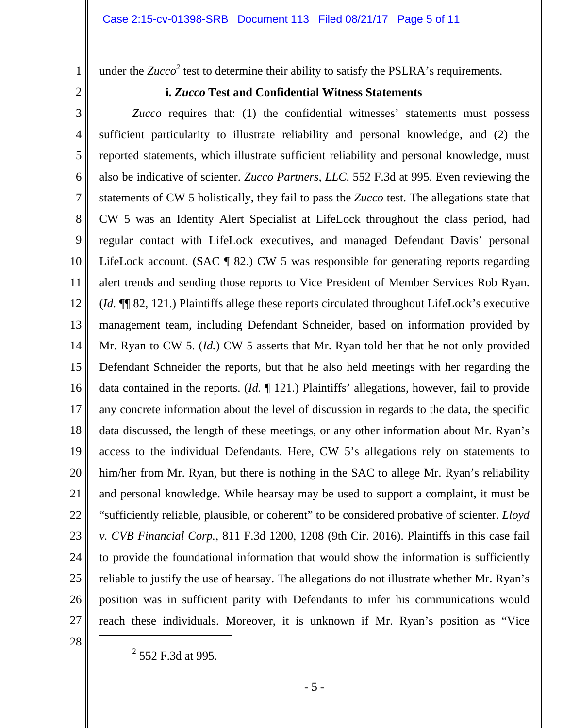under the  $Zucco^2$  test to determine their ability to satisfy the PSLRA's requirements.

2

1

### **i.** *Zucco* **Test and Confidential Witness Statements**

3 4 5 6 7 8 9 10 11 12 13 14 15 16 17 18 19 20 21 22 23 24 25 26 27 *Zucco* requires that: (1) the confidential witnesses' statements must possess sufficient particularity to illustrate reliability and personal knowledge, and (2) the reported statements, which illustrate sufficient reliability and personal knowledge, must also be indicative of scienter. *Zucco Partners, LLC*, 552 F.3d at 995. Even reviewing the statements of CW 5 holistically, they fail to pass the *Zucco* test. The allegations state that CW 5 was an Identity Alert Specialist at LifeLock throughout the class period, had regular contact with LifeLock executives, and managed Defendant Davis' personal LifeLock account. (SAC ¶ 82.) CW 5 was responsible for generating reports regarding alert trends and sending those reports to Vice President of Member Services Rob Ryan. (*Id.* ¶¶ 82, 121.) Plaintiffs allege these reports circulated throughout LifeLock's executive management team, including Defendant Schneider, based on information provided by Mr. Ryan to CW 5. (*Id.*) CW 5 asserts that Mr. Ryan told her that he not only provided Defendant Schneider the reports, but that he also held meetings with her regarding the data contained in the reports. (*Id.* ¶ 121.) Plaintiffs' allegations, however, fail to provide any concrete information about the level of discussion in regards to the data, the specific data discussed, the length of these meetings, or any other information about Mr. Ryan's access to the individual Defendants. Here, CW 5's allegations rely on statements to him/her from Mr. Ryan, but there is nothing in the SAC to allege Mr. Ryan's reliability and personal knowledge. While hearsay may be used to support a complaint, it must be "sufficiently reliable, plausible, or coherent" to be considered probative of scienter. *Lloyd v. CVB Financial Corp.*, 811 F.3d 1200, 1208 (9th Cir. 2016). Plaintiffs in this case fail to provide the foundational information that would show the information is sufficiently reliable to justify the use of hearsay. The allegations do not illustrate whether Mr. Ryan's position was in sufficient parity with Defendants to infer his communications would reach these individuals. Moreover, it is unknown if Mr. Ryan's position as "Vice 

<sup>28</sup> 

 $^{2}$  552 F.3d at 995.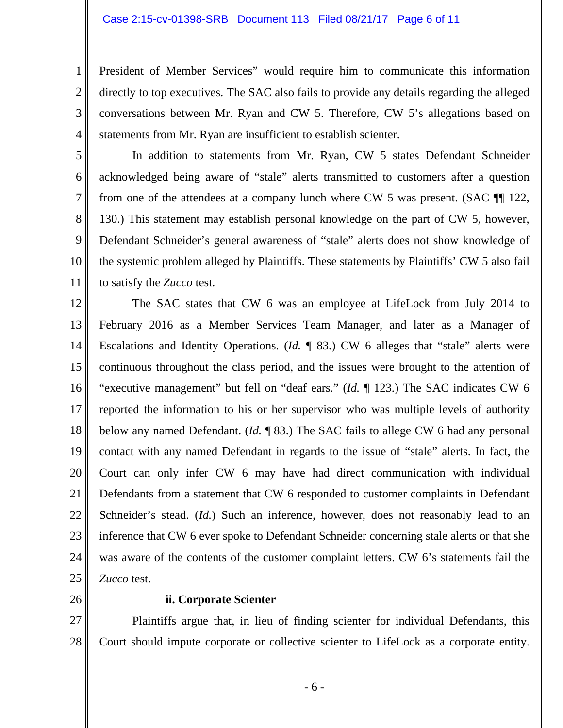President of Member Services" would require him to communicate this information directly to top executives. The SAC also fails to provide any details regarding the alleged conversations between Mr. Ryan and CW 5. Therefore, CW 5's allegations based on statements from Mr. Ryan are insufficient to establish scienter.

 In addition to statements from Mr. Ryan, CW 5 states Defendant Schneider acknowledged being aware of "stale" alerts transmitted to customers after a question from one of the attendees at a company lunch where CW 5 was present. (SAC  $\P$  122, 130.) This statement may establish personal knowledge on the part of CW 5, however, Defendant Schneider's general awareness of "stale" alerts does not show knowledge of the systemic problem alleged by Plaintiffs. These statements by Plaintiffs' CW 5 also fail to satisfy the *Zucco* test.

12 13 14 15 16 17 18 19 20 21 22 23 24 25 The SAC states that CW 6 was an employee at LifeLock from July 2014 to February 2016 as a Member Services Team Manager, and later as a Manager of Escalations and Identity Operations. (*Id.* ¶ 83.) CW 6 alleges that "stale" alerts were continuous throughout the class period, and the issues were brought to the attention of "executive management" but fell on "deaf ears." (*Id.* ¶ 123.) The SAC indicates CW 6 reported the information to his or her supervisor who was multiple levels of authority below any named Defendant. (*Id.* ¶ 83.) The SAC fails to allege CW 6 had any personal contact with any named Defendant in regards to the issue of "stale" alerts. In fact, the Court can only infer CW 6 may have had direct communication with individual Defendants from a statement that CW 6 responded to customer complaints in Defendant Schneider's stead. (*Id.*) Such an inference, however, does not reasonably lead to an inference that CW 6 ever spoke to Defendant Schneider concerning stale alerts or that she was aware of the contents of the customer complaint letters. CW 6's statements fail the *Zucco* test.

26

1

2

3

4

5

6

7

8

9

10

11

#### **ii. Corporate Scienter**

27 28 Plaintiffs argue that, in lieu of finding scienter for individual Defendants, this Court should impute corporate or collective scienter to LifeLock as a corporate entity.

- 6 -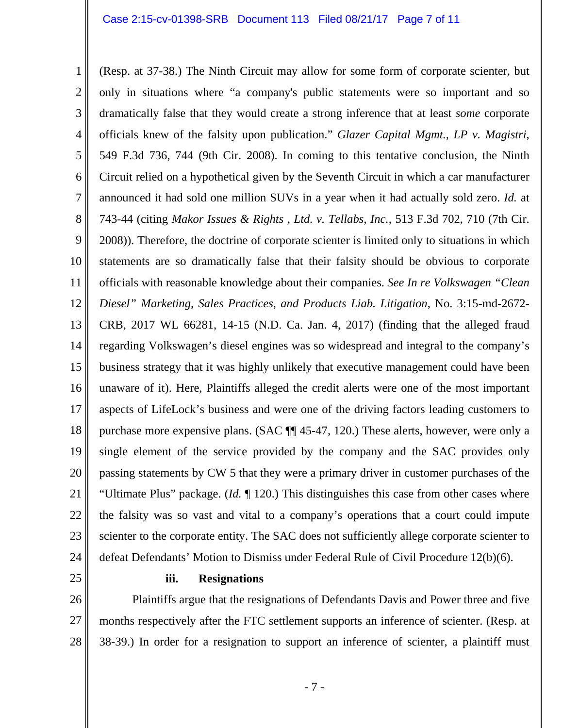1 2 3 4 5 6 7 8 9 10 11 12 13 14 15 16 17 18 19 20 21 22 23 24 (Resp. at 37-38.) The Ninth Circuit may allow for some form of corporate scienter, but only in situations where "a company's public statements were so important and so dramatically false that they would create a strong inference that at least *some* corporate officials knew of the falsity upon publication." *Glazer Capital Mgmt., LP v. Magistri*, 549 F.3d 736, 744 (9th Cir. 2008). In coming to this tentative conclusion, the Ninth Circuit relied on a hypothetical given by the Seventh Circuit in which a car manufacturer announced it had sold one million SUVs in a year when it had actually sold zero. *Id.* at 743-44 (citing *Makor Issues & Rights , Ltd. v. Tellabs, Inc.*, 513 F.3d 702, 710 (7th Cir. 2008)). Therefore, the doctrine of corporate scienter is limited only to situations in which statements are so dramatically false that their falsity should be obvious to corporate officials with reasonable knowledge about their companies. *See In re Volkswagen "Clean Diesel" Marketing, Sales Practices, and Products Liab. Litigation*, No. 3:15-md-2672- CRB, 2017 WL 66281, 14-15 (N.D. Ca. Jan. 4, 2017) (finding that the alleged fraud regarding Volkswagen's diesel engines was so widespread and integral to the company's business strategy that it was highly unlikely that executive management could have been unaware of it). Here, Plaintiffs alleged the credit alerts were one of the most important aspects of LifeLock's business and were one of the driving factors leading customers to purchase more expensive plans. (SAC ¶¶ 45-47, 120.) These alerts, however, were only a single element of the service provided by the company and the SAC provides only passing statements by CW 5 that they were a primary driver in customer purchases of the "Ultimate Plus" package. (*Id.* ¶ 120.) This distinguishes this case from other cases where the falsity was so vast and vital to a company's operations that a court could impute scienter to the corporate entity. The SAC does not sufficiently allege corporate scienter to defeat Defendants' Motion to Dismiss under Federal Rule of Civil Procedure 12(b)(6).

25

#### **iii. Resignations**

26 27 28 Plaintiffs argue that the resignations of Defendants Davis and Power three and five months respectively after the FTC settlement supports an inference of scienter. (Resp. at 38-39.) In order for a resignation to support an inference of scienter, a plaintiff must

- 7 -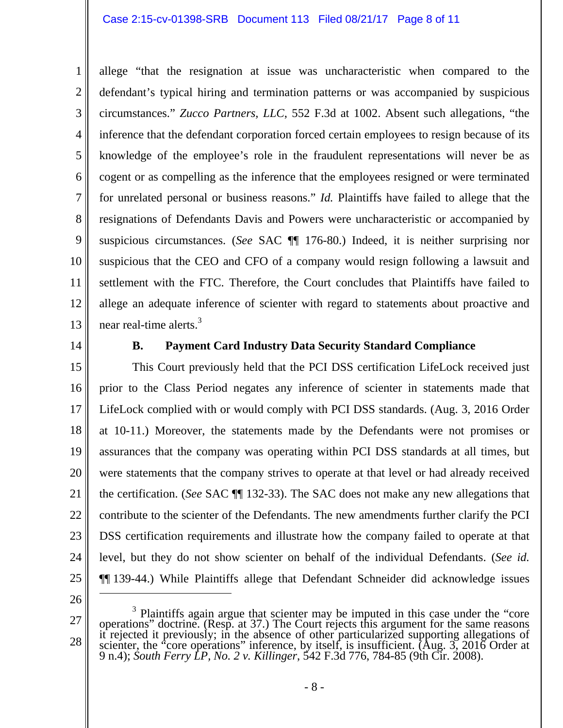#### Case 2:15-cv-01398-SRB Document 113 Filed 08/21/17 Page 8 of 11

2 3 4 5 6 7 8 9 10 11 12 13 allege "that the resignation at issue was uncharacteristic when compared to the defendant's typical hiring and termination patterns or was accompanied by suspicious circumstances." *Zucco Partners, LLC*, 552 F.3d at 1002. Absent such allegations, "the inference that the defendant corporation forced certain employees to resign because of its knowledge of the employee's role in the fraudulent representations will never be as cogent or as compelling as the inference that the employees resigned or were terminated for unrelated personal or business reasons." *Id.* Plaintiffs have failed to allege that the resignations of Defendants Davis and Powers were uncharacteristic or accompanied by suspicious circumstances. (*See* SAC ¶¶ 176-80.) Indeed, it is neither surprising nor suspicious that the CEO and CFO of a company would resign following a lawsuit and settlement with the FTC. Therefore, the Court concludes that Plaintiffs have failed to allege an adequate inference of scienter with regard to statements about proactive and near real-time alerts.<sup>3</sup>

14

1

### **B. Payment Card Industry Data Security Standard Compliance**

15 16 17 18 19 20 21 22 23 24 25 This Court previously held that the PCI DSS certification LifeLock received just prior to the Class Period negates any inference of scienter in statements made that LifeLock complied with or would comply with PCI DSS standards. (Aug. 3, 2016 Order at 10-11.) Moreover, the statements made by the Defendants were not promises or assurances that the company was operating within PCI DSS standards at all times, but were statements that the company strives to operate at that level or had already received the certification. (*See* SAC ¶¶ 132-33). The SAC does not make any new allegations that contribute to the scienter of the Defendants. The new amendments further clarify the PCI DSS certification requirements and illustrate how the company failed to operate at that level, but they do not show scienter on behalf of the individual Defendants. (*See id.* ¶¶ 139-44.) While Plaintiffs allege that Defendant Schneider did acknowledge issues

26

 $\overline{a}$ 

27

28

<sup>&</sup>lt;sup>3</sup> Plaintiffs again argue that scienter may be imputed in this case under the "core operations" doctrine. (Resp. at 37.) The Court rejects this argument for the same reasons it rejected it previously; in the absence of o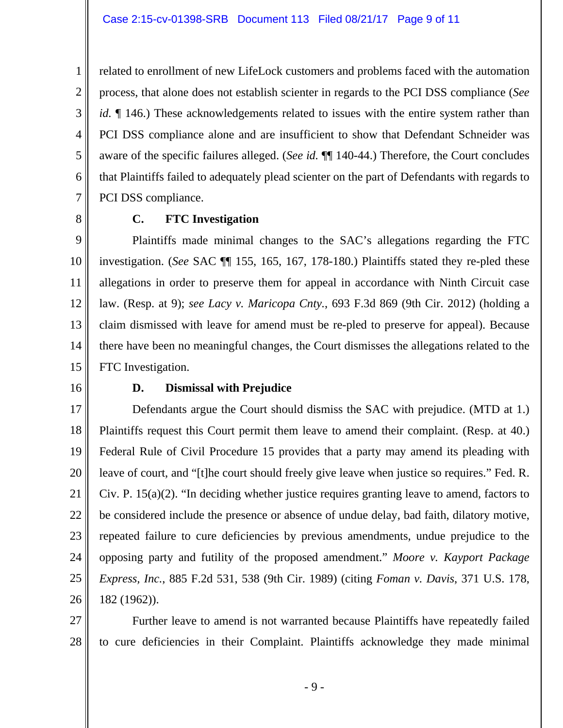related to enrollment of new LifeLock customers and problems faced with the automation process, that alone does not establish scienter in regards to the PCI DSS compliance (*See id.*  $\P$  146.) These acknowledgements related to issues with the entire system rather than PCI DSS compliance alone and are insufficient to show that Defendant Schneider was aware of the specific failures alleged. (*See id.* ¶¶ 140-44.) Therefore, the Court concludes that Plaintiffs failed to adequately plead scienter on the part of Defendants with regards to PCI DSS compliance.

8

1

2

3

4

5

6

7

## **C. FTC Investigation**

9 10 11 12 13 14 15 Plaintiffs made minimal changes to the SAC's allegations regarding the FTC investigation. (*See* SAC ¶¶ 155, 165, 167, 178-180.) Plaintiffs stated they re-pled these allegations in order to preserve them for appeal in accordance with Ninth Circuit case law. (Resp. at 9); *see Lacy v. Maricopa Cnty.*, 693 F.3d 869 (9th Cir. 2012) (holding a claim dismissed with leave for amend must be re-pled to preserve for appeal). Because there have been no meaningful changes, the Court dismisses the allegations related to the FTC Investigation.

16

### **D. Dismissal with Prejudice**

17 18 19 20 21 22 23 24 25 26 Defendants argue the Court should dismiss the SAC with prejudice. (MTD at 1.) Plaintiffs request this Court permit them leave to amend their complaint. (Resp. at 40.) Federal Rule of Civil Procedure 15 provides that a party may amend its pleading with leave of court, and "[t]he court should freely give leave when justice so requires." Fed. R. Civ. P. 15(a)(2). "In deciding whether justice requires granting leave to amend, factors to be considered include the presence or absence of undue delay, bad faith, dilatory motive, repeated failure to cure deficiencies by previous amendments, undue prejudice to the opposing party and futility of the proposed amendment." *Moore v. Kayport Package Express, Inc.*, 885 F.2d 531, 538 (9th Cir. 1989) (citing *Foman v. Davis*, 371 U.S. 178, 182 (1962)).

27 28 Further leave to amend is not warranted because Plaintiffs have repeatedly failed to cure deficiencies in their Complaint. Plaintiffs acknowledge they made minimal

- 9 -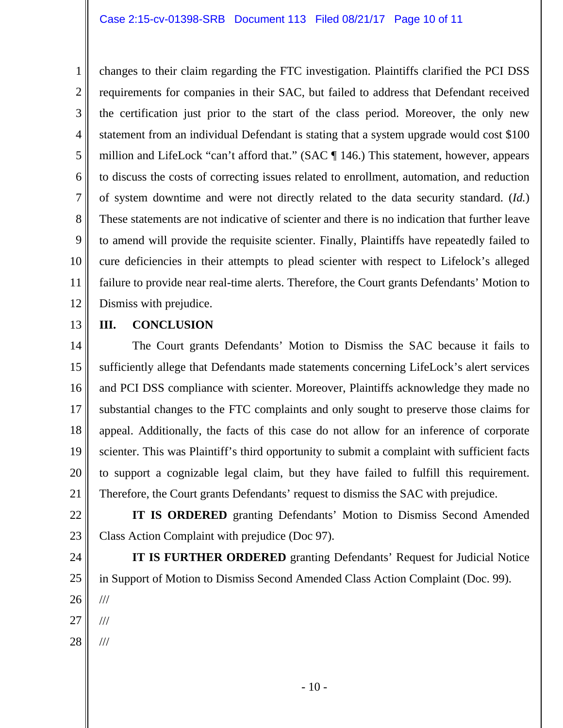1 2 3 4 5 6 7 8 9 10 11 12 changes to their claim regarding the FTC investigation. Plaintiffs clarified the PCI DSS requirements for companies in their SAC, but failed to address that Defendant received the certification just prior to the start of the class period. Moreover, the only new statement from an individual Defendant is stating that a system upgrade would cost \$100 million and LifeLock "can't afford that." (SAC ¶ 146.) This statement, however, appears to discuss the costs of correcting issues related to enrollment, automation, and reduction of system downtime and were not directly related to the data security standard. (*Id.*) These statements are not indicative of scienter and there is no indication that further leave to amend will provide the requisite scienter. Finally, Plaintiffs have repeatedly failed to cure deficiencies in their attempts to plead scienter with respect to Lifelock's alleged failure to provide near real-time alerts. Therefore, the Court grants Defendants' Motion to Dismiss with prejudice.

13

# **III. CONCLUSION**

14 15 16 17 18 19 20 21 The Court grants Defendants' Motion to Dismiss the SAC because it fails to sufficiently allege that Defendants made statements concerning LifeLock's alert services and PCI DSS compliance with scienter. Moreover, Plaintiffs acknowledge they made no substantial changes to the FTC complaints and only sought to preserve those claims for appeal. Additionally, the facts of this case do not allow for an inference of corporate scienter. This was Plaintiff's third opportunity to submit a complaint with sufficient facts to support a cognizable legal claim, but they have failed to fulfill this requirement. Therefore, the Court grants Defendants' request to dismiss the SAC with prejudice.

22 23  **IT IS ORDERED** granting Defendants' Motion to Dismiss Second Amended Class Action Complaint with prejudice (Doc 97).

24 25 26 27  **IT IS FURTHER ORDERED** granting Defendants' Request for Judicial Notice in Support of Motion to Dismiss Second Amended Class Action Complaint (Doc. 99). /// ///

28 ///